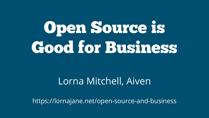## Open Source is Good for Business

#### Lorna Mitchell, Aiven

<https://lornajane.net/open-source-and-business>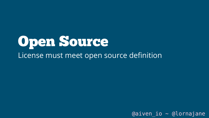#### Open Source

#### License must meet open source definition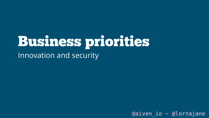# Business priorities

Innovation and security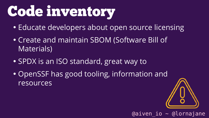### Code inventory

- Educate developers about open source licensing
- Create and maintain SBOM (Software Bill of Materials)
- SPDX is an ISO standard, great way to
- OpenSSF has good tooling, information and resources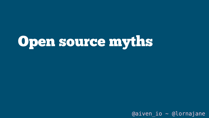

 $\theta$ aiven io ~  $\theta$ lornajane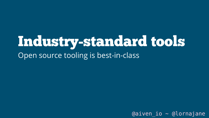#### Industry-standard tools Open source tooling is best-in-class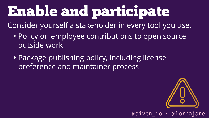## Enable and participate

Consider yourself a stakeholder in every tool you use.

- Policy on employee contributions to open source outside work
- Package publishing policy, including license preference and maintainer process

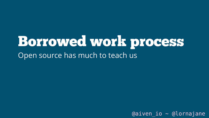# Borrowed work process

Open source has much to teach us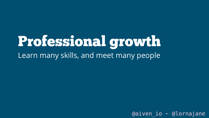#### Professional growth Learn many skills, and meet many people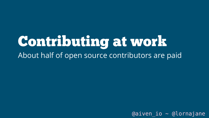#### Contributing at work About half of open source contributors are paid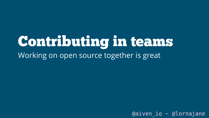### Contributing in teams

Working on open source together is great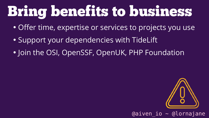### Bring benefits to business

- Offer time, expertise or services to projects you use
- Support your dependencies with TideLift
- Join the OSI, OpenSSF, OpenUK, PHP Foundation